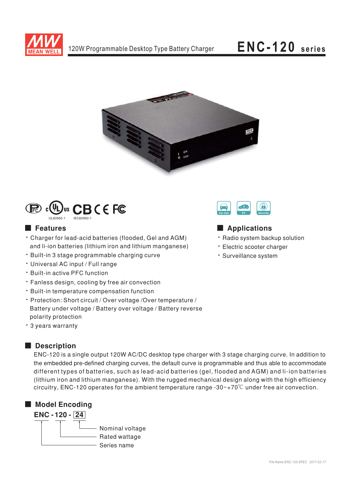

# ENC-120 series





## **Features**

- \* Charger for lead-acid batteries (flooded, Gel and AGM) and li-ion batteries (lithium iron and lithium manganese)
- · Built-in 3 stage programmable charging curve
- · Universal AC input / Full range
- · Built-in active PFC function
- Fanless design, cooling by free air convection
- · Built-in temperature compensation function
- · Protection: Short circuit / Over voltage / Over temperature / Battery under voltage / Battery over voltage / Battery reverse polarity protection
- \* 3 years warranty

# Description

ENC-120 is a single output 120W AC/DC desktop type charger with 3 stage charging curve. In addition to the embedded pre-defined charging curves, the default curve is programmable and thus able to accommodate different types of batteries, such as lead-acid batteries (gel, flooded and AGM) and li-ion batteries (lithium iron and lithium manganese). With the rugged mechanical design along with the high efficiency circuitry, ENC-120 operates for the ambient temperature range -30 $\sim$ +70 $\degree$ C under free air convection.





## Applications

- · Radio system backup solution
- · Electric scooter charger
- · Surveillance system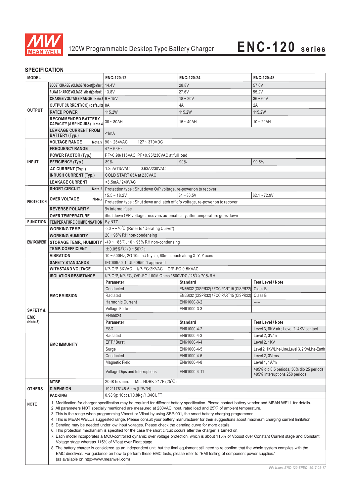

## **SPECIFICATION**

| יוסווחסם ווטבוט        |                                                                                                                                                                                                                                                                                                                                                                                                                                                                                                                                                                                                                                                                                                                                                                                                                                                                                                                                                                                                                                                                                                                                                                                                                                                                                            |                                                                                                                             |                                          |                                                                             |  |
|------------------------|--------------------------------------------------------------------------------------------------------------------------------------------------------------------------------------------------------------------------------------------------------------------------------------------------------------------------------------------------------------------------------------------------------------------------------------------------------------------------------------------------------------------------------------------------------------------------------------------------------------------------------------------------------------------------------------------------------------------------------------------------------------------------------------------------------------------------------------------------------------------------------------------------------------------------------------------------------------------------------------------------------------------------------------------------------------------------------------------------------------------------------------------------------------------------------------------------------------------------------------------------------------------------------------------|-----------------------------------------------------------------------------------------------------------------------------|------------------------------------------|-----------------------------------------------------------------------------|--|
| <b>MODEL</b>           |                                                                                                                                                                                                                                                                                                                                                                                                                                                                                                                                                                                                                                                                                                                                                                                                                                                                                                                                                                                                                                                                                                                                                                                                                                                                                            | ENC-120-12                                                                                                                  | ENC-120-24                               | ENC-120-48                                                                  |  |
|                        | BOOST CHARGE VOLTAGE(Vboost)(default) 14.4V                                                                                                                                                                                                                                                                                                                                                                                                                                                                                                                                                                                                                                                                                                                                                                                                                                                                                                                                                                                                                                                                                                                                                                                                                                                |                                                                                                                             | 28.8V                                    | 57.6V                                                                       |  |
|                        | FLOAT CHARGE VOLTAGE(Vfloat)(default)   13.8V                                                                                                                                                                                                                                                                                                                                                                                                                                                                                                                                                                                                                                                                                                                                                                                                                                                                                                                                                                                                                                                                                                                                                                                                                                              |                                                                                                                             | 27.6V                                    | 55.2V                                                                       |  |
|                        | <b>CHARGE VOLTAGE RANGE</b> Note.3 $9 \sim 15V$                                                                                                                                                                                                                                                                                                                                                                                                                                                                                                                                                                                                                                                                                                                                                                                                                                                                                                                                                                                                                                                                                                                                                                                                                                            |                                                                                                                             | $18 - 30V$                               | $36 - 60V$                                                                  |  |
|                        | <b>OUTPUT CURRENT(CC) (default)</b> 8A                                                                                                                                                                                                                                                                                                                                                                                                                                                                                                                                                                                                                                                                                                                                                                                                                                                                                                                                                                                                                                                                                                                                                                                                                                                     |                                                                                                                             | 4A                                       | 2A                                                                          |  |
| <b>OUTPUT</b>          | <b>RATED POWER</b>                                                                                                                                                                                                                                                                                                                                                                                                                                                                                                                                                                                                                                                                                                                                                                                                                                                                                                                                                                                                                                                                                                                                                                                                                                                                         | 115.2W                                                                                                                      | 115.2W                                   | 115.2W                                                                      |  |
|                        | <b>RECOMMENDED BATTERY</b>                                                                                                                                                                                                                                                                                                                                                                                                                                                                                                                                                                                                                                                                                                                                                                                                                                                                                                                                                                                                                                                                                                                                                                                                                                                                 |                                                                                                                             |                                          |                                                                             |  |
|                        | <b>CAPACITY (AMP HOURS) Note.4</b>                                                                                                                                                                                                                                                                                                                                                                                                                                                                                                                                                                                                                                                                                                                                                                                                                                                                                                                                                                                                                                                                                                                                                                                                                                                         | $30 - 80$ AH                                                                                                                | $15 - 40$ AH                             | $10 - 20AH$                                                                 |  |
|                        | <b>LEAKAGE CURRENT FROM</b><br>BATTERY (Typ.)                                                                                                                                                                                                                                                                                                                                                                                                                                                                                                                                                                                                                                                                                                                                                                                                                                                                                                                                                                                                                                                                                                                                                                                                                                              | < 1mA                                                                                                                       |                                          |                                                                             |  |
|                        | <b>VOLTAGE RANGE</b>                                                                                                                                                                                                                                                                                                                                                                                                                                                                                                                                                                                                                                                                                                                                                                                                                                                                                                                                                                                                                                                                                                                                                                                                                                                                       | Note.5 $90 - 264$ VAC<br>$127 - 370VDC$                                                                                     |                                          |                                                                             |  |
|                        | <b>FREQUENCY RANGE</b>                                                                                                                                                                                                                                                                                                                                                                                                                                                                                                                                                                                                                                                                                                                                                                                                                                                                                                                                                                                                                                                                                                                                                                                                                                                                     | $47 - 63$ Hz                                                                                                                |                                          |                                                                             |  |
|                        | <b>POWER FACTOR (Typ.)</b>                                                                                                                                                                                                                                                                                                                                                                                                                                                                                                                                                                                                                                                                                                                                                                                                                                                                                                                                                                                                                                                                                                                                                                                                                                                                 | PF>0.98/115VAC, PF>0.95/230VAC at full load                                                                                 |                                          |                                                                             |  |
| <b>INPUT</b>           | <b>EFFICIENCY (Typ.)</b>                                                                                                                                                                                                                                                                                                                                                                                                                                                                                                                                                                                                                                                                                                                                                                                                                                                                                                                                                                                                                                                                                                                                                                                                                                                                   | 89%                                                                                                                         | 90%                                      | 90.5%                                                                       |  |
|                        | <b>AC CURRENT (Typ.)</b>                                                                                                                                                                                                                                                                                                                                                                                                                                                                                                                                                                                                                                                                                                                                                                                                                                                                                                                                                                                                                                                                                                                                                                                                                                                                   | 1.25A/115VAC<br>0.63A/230VAC                                                                                                |                                          |                                                                             |  |
|                        | <b>INRUSH CURRENT (Typ.)</b>                                                                                                                                                                                                                                                                                                                                                                                                                                                                                                                                                                                                                                                                                                                                                                                                                                                                                                                                                                                                                                                                                                                                                                                                                                                               | COLD START 65A at 230VAC                                                                                                    |                                          |                                                                             |  |
|                        | <b>LEAKAGE CURRENT</b>                                                                                                                                                                                                                                                                                                                                                                                                                                                                                                                                                                                                                                                                                                                                                                                                                                                                                                                                                                                                                                                                                                                                                                                                                                                                     | <3.5mA/240VAC                                                                                                               |                                          |                                                                             |  |
|                        | <b>SHORT CIRCUIT</b>                                                                                                                                                                                                                                                                                                                                                                                                                                                                                                                                                                                                                                                                                                                                                                                                                                                                                                                                                                                                                                                                                                                                                                                                                                                                       | Note.6 Protection type : Shut down O/P voltage, re-power on to recover                                                      |                                          |                                                                             |  |
|                        |                                                                                                                                                                                                                                                                                                                                                                                                                                                                                                                                                                                                                                                                                                                                                                                                                                                                                                                                                                                                                                                                                                                                                                                                                                                                                            | $15.5 - 18.2V$                                                                                                              | $31 - 36.5V$                             | $62.1 - 72.9V$                                                              |  |
| <b>PROTECTION</b>      | <b>OVER VOLTAGE</b><br>Note.7                                                                                                                                                                                                                                                                                                                                                                                                                                                                                                                                                                                                                                                                                                                                                                                                                                                                                                                                                                                                                                                                                                                                                                                                                                                              | Protection type: Shut down and latch off o/p voltage, re-power on to recover                                                |                                          |                                                                             |  |
|                        | <b>REVERSE POLARITY</b>                                                                                                                                                                                                                                                                                                                                                                                                                                                                                                                                                                                                                                                                                                                                                                                                                                                                                                                                                                                                                                                                                                                                                                                                                                                                    | By internal fuse                                                                                                            |                                          |                                                                             |  |
|                        | <b>OVER TEMPERATURE</b>                                                                                                                                                                                                                                                                                                                                                                                                                                                                                                                                                                                                                                                                                                                                                                                                                                                                                                                                                                                                                                                                                                                                                                                                                                                                    | Shut down O/P voltage, recovers automatically after temperature goes down                                                   |                                          |                                                                             |  |
|                        | <b>FUNCTION TEMPERATURE COMPENSATION</b>                                                                                                                                                                                                                                                                                                                                                                                                                                                                                                                                                                                                                                                                                                                                                                                                                                                                                                                                                                                                                                                                                                                                                                                                                                                   | By NTC                                                                                                                      |                                          |                                                                             |  |
|                        | <b>WORKING TEMP.</b>                                                                                                                                                                                                                                                                                                                                                                                                                                                                                                                                                                                                                                                                                                                                                                                                                                                                                                                                                                                                                                                                                                                                                                                                                                                                       | -30 ~ +70°C (Refer to "Derating Curve")                                                                                     |                                          |                                                                             |  |
|                        | <b>WORKING HUMIDITY</b>                                                                                                                                                                                                                                                                                                                                                                                                                                                                                                                                                                                                                                                                                                                                                                                                                                                                                                                                                                                                                                                                                                                                                                                                                                                                    | 20~95% RH non-condensing                                                                                                    |                                          |                                                                             |  |
|                        | ENVIRONMENT   STORAGE TEMP., HUMIDITY                                                                                                                                                                                                                                                                                                                                                                                                                                                                                                                                                                                                                                                                                                                                                                                                                                                                                                                                                                                                                                                                                                                                                                                                                                                      | $-40 \sim +85^{\circ}$ C, 10 ~ 95% RH non-condensing                                                                        |                                          |                                                                             |  |
|                        | <b>TEMP. COEFFICIENT</b>                                                                                                                                                                                                                                                                                                                                                                                                                                                                                                                                                                                                                                                                                                                                                                                                                                                                                                                                                                                                                                                                                                                                                                                                                                                                   | $\pm$ 0.05%/°C (0~50°C)                                                                                                     |                                          |                                                                             |  |
|                        | <b>VIBRATION</b>                                                                                                                                                                                                                                                                                                                                                                                                                                                                                                                                                                                                                                                                                                                                                                                                                                                                                                                                                                                                                                                                                                                                                                                                                                                                           | 10~500Hz, 2G 10min./1cycle, 60min. each along X, Y, Z axes                                                                  |                                          |                                                                             |  |
|                        | <b>SAFETY STANDARDS</b>                                                                                                                                                                                                                                                                                                                                                                                                                                                                                                                                                                                                                                                                                                                                                                                                                                                                                                                                                                                                                                                                                                                                                                                                                                                                    | IEC60950-1, UL60950-1 approved                                                                                              |                                          |                                                                             |  |
|                        | <b>WITHSTAND VOLTAGE</b>                                                                                                                                                                                                                                                                                                                                                                                                                                                                                                                                                                                                                                                                                                                                                                                                                                                                                                                                                                                                                                                                                                                                                                                                                                                                   | I/P-O/P:3KVAC I/P-FG:2KVAC O/P-FG:0.5KVAC                                                                                   |                                          |                                                                             |  |
|                        | <b>ISOLATION RESISTANCE</b>                                                                                                                                                                                                                                                                                                                                                                                                                                                                                                                                                                                                                                                                                                                                                                                                                                                                                                                                                                                                                                                                                                                                                                                                                                                                |                                                                                                                             |                                          |                                                                             |  |
|                        |                                                                                                                                                                                                                                                                                                                                                                                                                                                                                                                                                                                                                                                                                                                                                                                                                                                                                                                                                                                                                                                                                                                                                                                                                                                                                            | I/P-O/P, I/P-FG, O/P-FG:100M Ohms / 500VDC / 25°C/70% RH<br><b>Test Level / Note</b><br><b>Parameter</b><br><b>Standard</b> |                                          |                                                                             |  |
|                        |                                                                                                                                                                                                                                                                                                                                                                                                                                                                                                                                                                                                                                                                                                                                                                                                                                                                                                                                                                                                                                                                                                                                                                                                                                                                                            | Conducted                                                                                                                   | EN55032 (CISPR32) / FCC PART15 (CISPR22) | Class B                                                                     |  |
|                        | <b>EMC EMISSION</b>                                                                                                                                                                                                                                                                                                                                                                                                                                                                                                                                                                                                                                                                                                                                                                                                                                                                                                                                                                                                                                                                                                                                                                                                                                                                        | Radiated                                                                                                                    | EN55032 (CISPR32) / FCC PART15 (CISPR22) | Class B                                                                     |  |
|                        |                                                                                                                                                                                                                                                                                                                                                                                                                                                                                                                                                                                                                                                                                                                                                                                                                                                                                                                                                                                                                                                                                                                                                                                                                                                                                            | Harmonic Current                                                                                                            | EN61000-3-2                              | -----                                                                       |  |
|                        |                                                                                                                                                                                                                                                                                                                                                                                                                                                                                                                                                                                                                                                                                                                                                                                                                                                                                                                                                                                                                                                                                                                                                                                                                                                                                            | Voltage Flicker                                                                                                             | EN61000-3-3                              |                                                                             |  |
| <b>SAFETY &amp;</b>    |                                                                                                                                                                                                                                                                                                                                                                                                                                                                                                                                                                                                                                                                                                                                                                                                                                                                                                                                                                                                                                                                                                                                                                                                                                                                                            | EN55024                                                                                                                     |                                          |                                                                             |  |
| <b>EMC</b><br>(Note 8) |                                                                                                                                                                                                                                                                                                                                                                                                                                                                                                                                                                                                                                                                                                                                                                                                                                                                                                                                                                                                                                                                                                                                                                                                                                                                                            | Parameter                                                                                                                   | <b>Standard</b>                          | <b>Test Level / Note</b>                                                    |  |
|                        |                                                                                                                                                                                                                                                                                                                                                                                                                                                                                                                                                                                                                                                                                                                                                                                                                                                                                                                                                                                                                                                                                                                                                                                                                                                                                            | <b>ESD</b>                                                                                                                  | EN61000-4-2                              | Level 3, 8KV air; Level 2, 4KV contact                                      |  |
|                        |                                                                                                                                                                                                                                                                                                                                                                                                                                                                                                                                                                                                                                                                                                                                                                                                                                                                                                                                                                                                                                                                                                                                                                                                                                                                                            | Radiated                                                                                                                    | EN61000-4-3                              | Level 2, 3V/m                                                               |  |
|                        |                                                                                                                                                                                                                                                                                                                                                                                                                                                                                                                                                                                                                                                                                                                                                                                                                                                                                                                                                                                                                                                                                                                                                                                                                                                                                            | EFT / Burst                                                                                                                 | EN61000-4-4                              | Level 2, 1KV                                                                |  |
|                        | <b>EMC IMMUNITY</b>                                                                                                                                                                                                                                                                                                                                                                                                                                                                                                                                                                                                                                                                                                                                                                                                                                                                                                                                                                                                                                                                                                                                                                                                                                                                        |                                                                                                                             |                                          |                                                                             |  |
|                        |                                                                                                                                                                                                                                                                                                                                                                                                                                                                                                                                                                                                                                                                                                                                                                                                                                                                                                                                                                                                                                                                                                                                                                                                                                                                                            | Surge                                                                                                                       | EN61000-4-5                              | Level 2, 1KV/Line-Line, Level 3, 2KV/Line-Earth                             |  |
|                        |                                                                                                                                                                                                                                                                                                                                                                                                                                                                                                                                                                                                                                                                                                                                                                                                                                                                                                                                                                                                                                                                                                                                                                                                                                                                                            | Conducted                                                                                                                   | EN61000-4-6                              | Level 2, 3Vrms                                                              |  |
|                        |                                                                                                                                                                                                                                                                                                                                                                                                                                                                                                                                                                                                                                                                                                                                                                                                                                                                                                                                                                                                                                                                                                                                                                                                                                                                                            | Magnetic Field                                                                                                              | EN61000-4-8                              | Level 1, 1A/m                                                               |  |
|                        |                                                                                                                                                                                                                                                                                                                                                                                                                                                                                                                                                                                                                                                                                                                                                                                                                                                                                                                                                                                                                                                                                                                                                                                                                                                                                            | Voltage Dips and Interruptions                                                                                              | EN61000-4-11                             | >95% dip 0.5 periods, 30% dip 25 periods,<br>>95% interruptions 250 periods |  |
|                        | <b>MTBF</b>                                                                                                                                                                                                                                                                                                                                                                                                                                                                                                                                                                                                                                                                                                                                                                                                                                                                                                                                                                                                                                                                                                                                                                                                                                                                                | MIL-HDBK-217F $(25^{\circ}C)$<br>206K hrs min.                                                                              |                                          |                                                                             |  |
| <b>OTHERS</b>          | <b>DIMENSION</b>                                                                                                                                                                                                                                                                                                                                                                                                                                                                                                                                                                                                                                                                                                                                                                                                                                                                                                                                                                                                                                                                                                                                                                                                                                                                           | 192*178*45.5mm (L*W*H)                                                                                                      |                                          |                                                                             |  |
|                        | <b>PACKING</b>                                                                                                                                                                                                                                                                                                                                                                                                                                                                                                                                                                                                                                                                                                                                                                                                                                                                                                                                                                                                                                                                                                                                                                                                                                                                             | 0.98Kg; 10pcs/10.8Kg /1.34CUFT                                                                                              |                                          |                                                                             |  |
| <b>NOTE</b>            | 1. Modification for charger specification may be required for different battery specification. Please contact battery vendor and MEAN WELL for details.<br>2. All parameters NOT specially mentioned are measured at 230VAC input, rated load and 25°C of ambient temperature.<br>3. This is the range when programming Vboost or Vfloat by using SBP-001, the smart battery charging programmer.<br>4. This is MEAN WELL's suggested range. Please consult your battery manufacturer for their suggestions about maximum charging current limitation.<br>5. Derating may be needed under low input voltages. Please check the derating curve for more details.<br>6. This protection mechanism is specified for the case the short circuit occurs after the charger is turned on.<br>7. Each model incorporates a MCU-controlled dynamic over voltage protection, which is about 115% of Vboost over Constant Current stage and Constant<br>Voltage stage whereas 115% of Vfloat over Float stage.<br>8. The battery charger is considered as an independent unit, but the final equipment still need to re-confirm that the whole system complies with the<br>EMC directives. For guidance on how to perform these EMC tests, please refer to "EMI testing of component power supplies." |                                                                                                                             |                                          |                                                                             |  |
|                        | (as available on http://www.meanwell.com)                                                                                                                                                                                                                                                                                                                                                                                                                                                                                                                                                                                                                                                                                                                                                                                                                                                                                                                                                                                                                                                                                                                                                                                                                                                  |                                                                                                                             |                                          |                                                                             |  |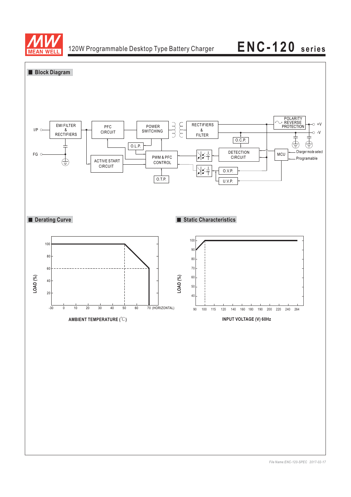

# 120W Programmable Desktop Type Battery Charger **ENC-120 series**

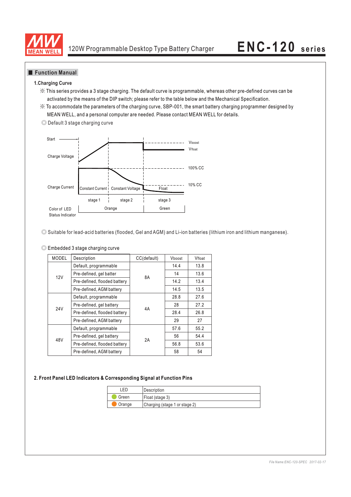

## **Function Manual**

### **1.Charging Curve**

- ※ This series provides a 3 stage charging. The default curve is programmable, whereas other pre-defined curves can be activated by the means of the DIP switch; please refer to the table below and the Mechanical Specification.
- ※ To accommodate the parameters of the charging curve, SBP-001, the smart battery charging programmer designed by MEAN WELL, and a personal computer are needed. Please contact MEAN WELL for details.





◎ Suitable for lead-acid batteries (flooded, Gel and AGM) and Li-ion batteries (lithium iron and lithium manganese).

◎ Embedded 3 stage charging curve

| <b>MODEL</b> | Description                  | CC(default) | Vboost | Vfloat |
|--------------|------------------------------|-------------|--------|--------|
| 12V          | Default, programmable        |             | 14.4   | 13.8   |
|              | Pre-defined, gel batter      | 8A          | 14     | 13.6   |
|              | Pre-defined, flooded battery |             | 14.2   | 13.4   |
|              | Pre-defined, AGM battery     |             | 14.5   | 13.5   |
|              | Default, programmable        |             | 28.8   | 27.6   |
| 24V          | Pre-defined, gel battery     | 4A          | 28     | 27.2   |
|              | Pre-defined, flooded battery |             | 28.4   | 26.8   |
|              | Pre-defined, AGM battery     |             | 29     | 27     |
|              | Default, programmable        | 2A          | 57.6   | 55.2   |
| 48V          | Pre-defined, gel battery     |             | 56     | 54.4   |
|              | Pre-defined, flooded battery |             | 56.8   | 53.6   |
|              | Pre-defined, AGM battery     |             | 58     | 54     |

### **2. Front Panel LED Indicators & Corresponding Signal at Function Pins**

| FD.                                     | l Description   |
|-----------------------------------------|-----------------|
| Green                                   | Float (stage 3) |
| Charging (stage 1 or stage 2)<br>Orange |                 |